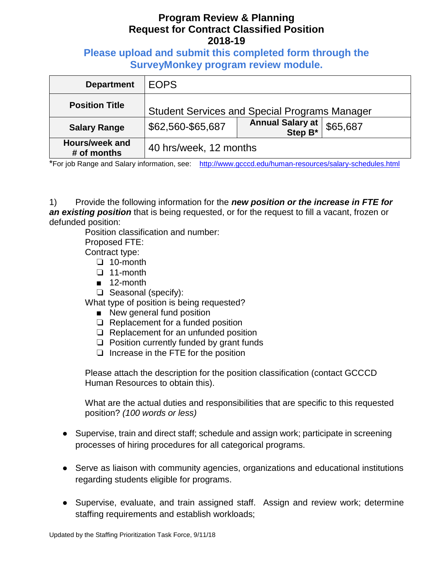**Please upload and submit this completed form through the SurveyMonkey program review module.**

| <b>Department</b>             | <b>EOPS</b>                                          |                             |          |
|-------------------------------|------------------------------------------------------|-----------------------------|----------|
| <b>Position Title</b>         | <b>Student Services and Special Programs Manager</b> |                             |          |
| <b>Salary Range</b>           | \$62,560-\$65,687                                    | Annual Salary at<br>Step B* | \$65,687 |
| Hours/week and<br># of months | 40 hrs/week, 12 months                               |                             |          |

\*For job Range and Salary information, see: <http://www.gcccd.edu/human-resources/salary-schedules.html>

1) Provide the following information for the *new position or the increase in FTE for an existing position* that is being requested, or for the request to fill a vacant, frozen or defunded position:

Position classification and number:

Proposed FTE:

Contract type:

- ❏ 10-month
- ❏ 11-month
- 12-month
- ❏ Seasonal (specify):

What type of position is being requested?

- New general fund position
- ❏ Replacement for a funded position
- ❏ Replacement for an unfunded position
- ❏ Position currently funded by grant funds
- ❏ Increase in the FTE for the position

Please attach the description for the position classification (contact GCCCD Human Resources to obtain this).

What are the actual duties and responsibilities that are specific to this requested position? *(100 words or less)*

- Supervise, train and direct staff; schedule and assign work; participate in screening processes of hiring procedures for all categorical programs.
- Serve as liaison with community agencies, organizations and educational institutions regarding students eligible for programs.
- Supervise, evaluate, and train assigned staff. Assign and review work; determine staffing requirements and establish workloads;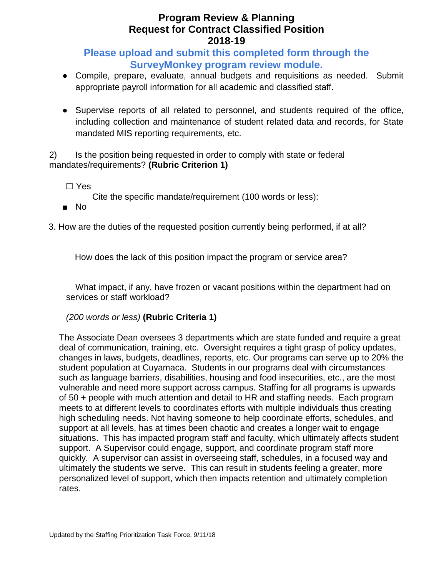## **Please upload and submit this completed form through the SurveyMonkey program review module.**

- Compile, prepare, evaluate, annual budgets and requisitions as needed. Submit appropriate payroll information for all academic and classified staff.
- Supervise reports of all related to personnel, and students required of the office, including collection and maintenance of student related data and records, for State mandated MIS reporting requirements, etc.

2) Is the position being requested in order to comply with state or federal mandates/requirements? **(Rubric Criterion 1)** 

☐ Yes

Cite the specific mandate/requirement (100 words or less):

■ No

3. How are the duties of the requested position currently being performed, if at all?

How does the lack of this position impact the program or service area?

What impact, if any, have frozen or vacant positions within the department had on services or staff workload?

*(200 words or less)* **(Rubric Criteria 1)**

The Associate Dean oversees 3 departments which are state funded and require a great deal of communication, training, etc. Oversight requires a tight grasp of policy updates, changes in laws, budgets, deadlines, reports, etc. Our programs can serve up to 20% the student population at Cuyamaca. Students in our programs deal with circumstances such as language barriers, disabilities, housing and food insecurities, etc., are the most vulnerable and need more support across campus. Staffing for all programs is upwards of 50 + people with much attention and detail to HR and staffing needs. Each program meets to at different levels to coordinates efforts with multiple individuals thus creating high scheduling needs. Not having someone to help coordinate efforts, schedules, and support at all levels, has at times been chaotic and creates a longer wait to engage situations. This has impacted program staff and faculty, which ultimately affects student support. A Supervisor could engage, support, and coordinate program staff more quickly. A supervisor can assist in overseeing staff, schedules, in a focused way and ultimately the students we serve. This can result in students feeling a greater, more personalized level of support, which then impacts retention and ultimately completion rates.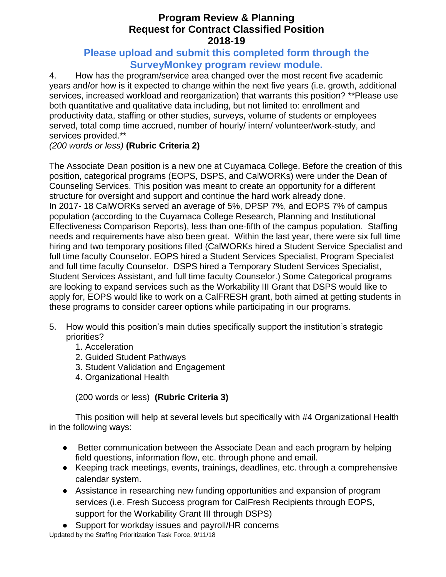#### **Please upload and submit this completed form through the SurveyMonkey program review module.**

4. How has the program/service area changed over the most recent five academic years and/or how is it expected to change within the next five years (i.e. growth, additional services, increased workload and reorganization) that warrants this position? \*\*Please use both quantitative and qualitative data including, but not limited to: enrollment and productivity data, staffing or other studies, surveys, volume of students or employees served, total comp time accrued, number of hourly/ intern/ volunteer/work-study, and services provided.\*\*

*(200 words or less)* **(Rubric Criteria 2)**

The Associate Dean position is a new one at Cuyamaca College. Before the creation of this position, categorical programs (EOPS, DSPS, and CalWORKs) were under the Dean of Counseling Services. This position was meant to create an opportunity for a different structure for oversight and support and continue the hard work already done. In 2017- 18 CalWORKs served an average of 5%, DPSP 7%, and EOPS 7% of campus population (according to the Cuyamaca College Research, Planning and Institutional Effectiveness Comparison Reports), less than one-fifth of the campus population. Staffing needs and requirements have also been great. Within the last year, there were six full time hiring and two temporary positions filled (CalWORKs hired a Student Service Specialist and full time faculty Counselor. EOPS hired a Student Services Specialist, Program Specialist and full time faculty Counselor. DSPS hired a Temporary Student Services Specialist, Student Services Assistant, and full time faculty Counselor.) Some Categorical programs are looking to expand services such as the Workability III Grant that DSPS would like to apply for, EOPS would like to work on a CalFRESH grant, both aimed at getting students in these programs to consider career options while participating in our programs.

- 5. How would this position's main duties specifically support the institution's strategic priorities?
	- 1. Acceleration
	- 2. Guided Student Pathways
	- 3. Student Validation and Engagement
	- 4. Organizational Health

(200 words or less) **(Rubric Criteria 3)**

This position will help at several levels but specifically with #4 Organizational Health in the following ways:

- Better communication between the Associate Dean and each program by helping field questions, information flow, etc. through phone and email.
- Keeping track meetings, events, trainings, deadlines, etc. through a comprehensive calendar system.
- Assistance in researching new funding opportunities and expansion of program services (i.e. Fresh Success program for CalFresh Recipients through EOPS, support for the Workability Grant III through DSPS)
- Support for workday issues and payroll/HR concerns

Updated by the Staffing Prioritization Task Force, 9/11/18